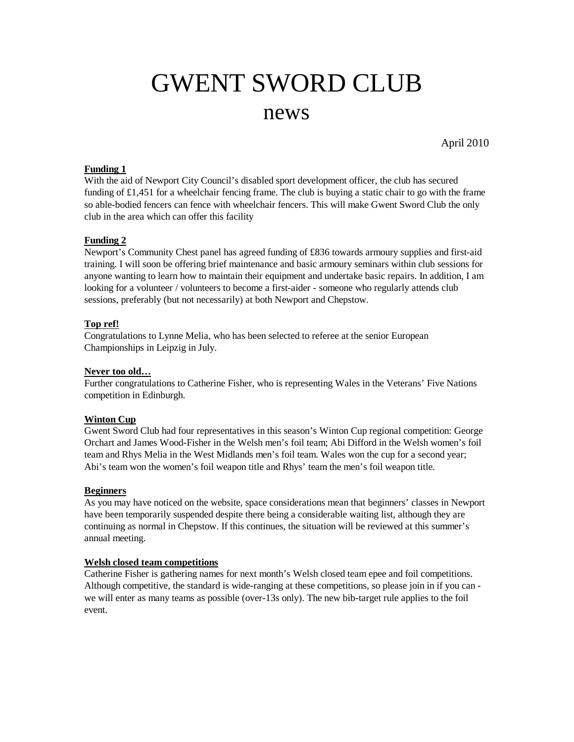# GWENT SWORD CLUB

# news

April 2010

#### **Funding 1**

With the aid of Newport City Council's disabled sport development officer, the club has secured funding of  $£1,451$  for a wheelchair fencing frame. The club is buying a static chair to go with the frame so able-bodied fencers can fence with wheelchair fencers. This will make Gwent Sword Club the only club in the area which can offer this facility

#### **Funding 2**

Newport's Community Chest panel has agreed funding of £836 towards armoury supplies and first-aid training. I will soon be offering brief maintenance and basic armoury seminars within club sessions for anyone wanting to learn how to maintain their equipment and undertake basic repairs. In addition, I am looking for a volunteer / volunteers to become a first-aider - someone who regularly attends club sessions, preferably (but not necessarily) at both Newport and Chepstow.

# **Top ref!**

Congratulations to Lynne Melia, who has been selected to referee at the senior European Championships in Leipzig in July.

#### **Never too old…**

Further congratulations to Catherine Fisher, who is representing Wales in the Veterans' Five Nations competition in Edinburgh.

#### **Winton Cup**

Gwent Sword Club had four representatives in this season's Winton Cup regional competition: George Orchart and James Wood-Fisher in the Welsh men's foil team; Abi Difford in the Welsh women's foil team and Rhys Melia in the West Midlands men's foil team. Wales won the cup for a second year; Abi's team won the women's foil weapon title and Rhys' team the men's foil weapon title.

#### **Beginners**

As you may have noticed on the website, space considerations mean that beginners' classes in Newport have been temporarily suspended despite there being a considerable waiting list, although they are continuing as normal in Chepstow. If this continues, the situation will be reviewed at this summer's annual meeting.

#### **Welsh closed team competitions**

Catherine Fisher is gathering names for next month's Welsh closed team epee and foil competitions. Although competitive, the standard is wide-ranging at these competitions, so please join in if you can we will enter as many teams as possible (over-13s only). The new bib-target rule applies to the foil event.